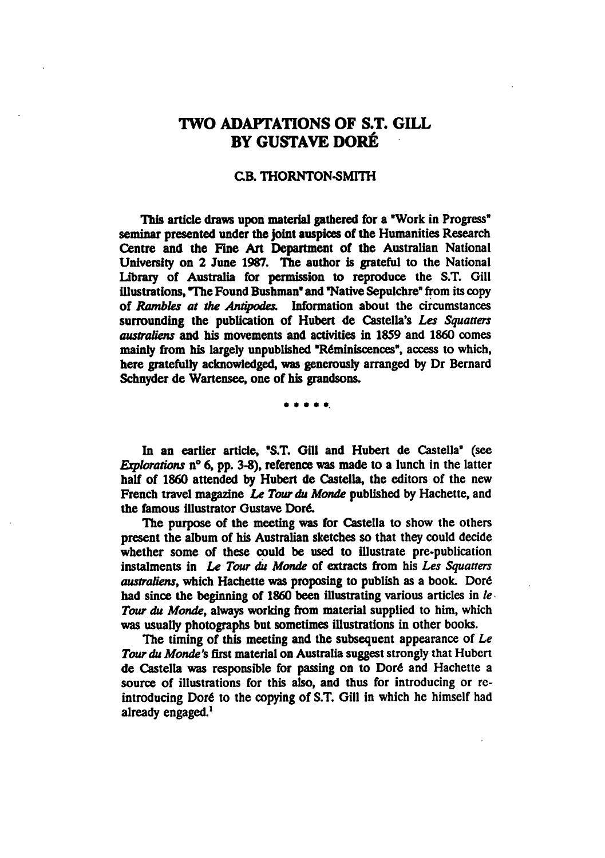## TWO ADAPTATIONS OF S.T. GILL BY GUSTAVE DORE

## CB. THORNTON-SMITH

This article draws upon material gathered for a "Work in Progress" seminar presented under the joint auspices of the Humanities Research Centre and the Fine Art Department of the Australian National University on 2 June 1987. The author is grateful to the National Library of Australia for permission to reproduce the S.T. Gill illustrations, "The Found Bushman" and "Native Sepulchre" from its copy of Rambles at the Antipodes. Information about the circumstances surrounding the publication of Hubert de Castella's Les Squatters australiens and his movements and activities in 1859 and 1860 comes mainly from his largely unpublished "Reminiscences", access to which, here gratefully acknowledged, was generously arranged by Dr Bernard Schnyder de Wartensee, one of his grandsons.

.....

In an earlier article, "S.T. Gill and Hubert de Castella" (see Explorations  $n^{\circ}$  6, pp. 3-8), reference was made to a lunch in the latter half of 1860 attended by Hubert de Castella, the editors of the new French travel magazine Le Tour du Monde published by Hachette, and the famous illustrator Gustave Doré.

The purpose of the meeting was for Castella to show the others present the album of his Australian sketches so that they could decide whether some of these could be used to illustrate pre-publication instalments in Le Tour du Monde of extracts from his Les Squatters australiens, which Hachette was proposing to publish as a book. Doré had since the beginning of 1860 been illustrating various articles in le-Tour du Monde, always working from material supplied to him, which was usually photographs but sometimes illustrations in other books.

The timing of this meeting and the subsequent appearance of Le Tour du Monde's first material on Australia suggest strongly that Hubert de Castella was responsible for passing on to Doré and Hachette a source of illustrations for this also, and thus for introducing or reintroducing Doré to the copying of S.T. Gill in which he himself had already engaged.<sup>1</sup>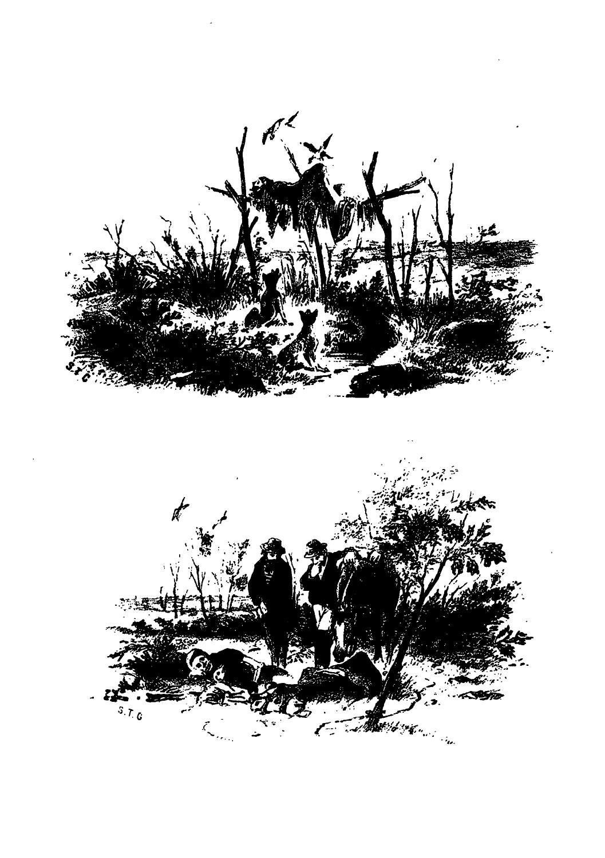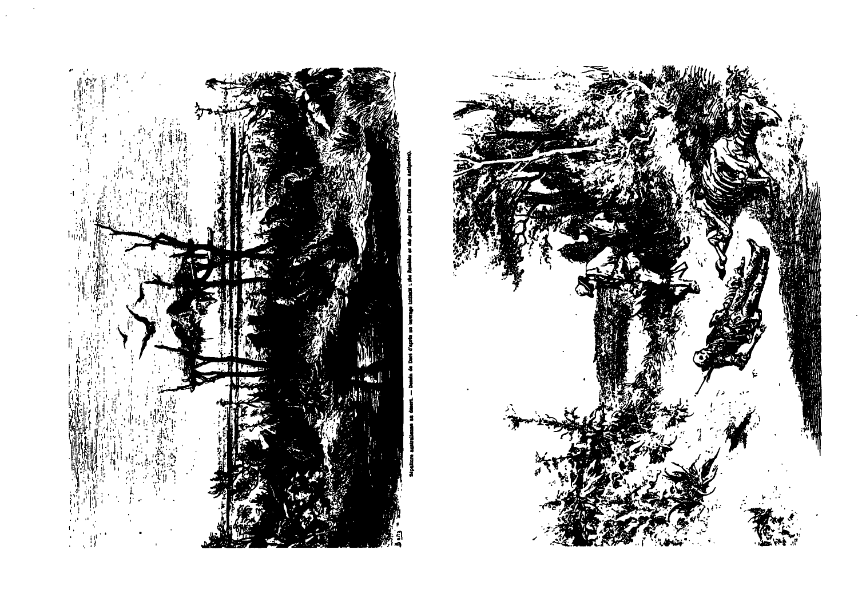

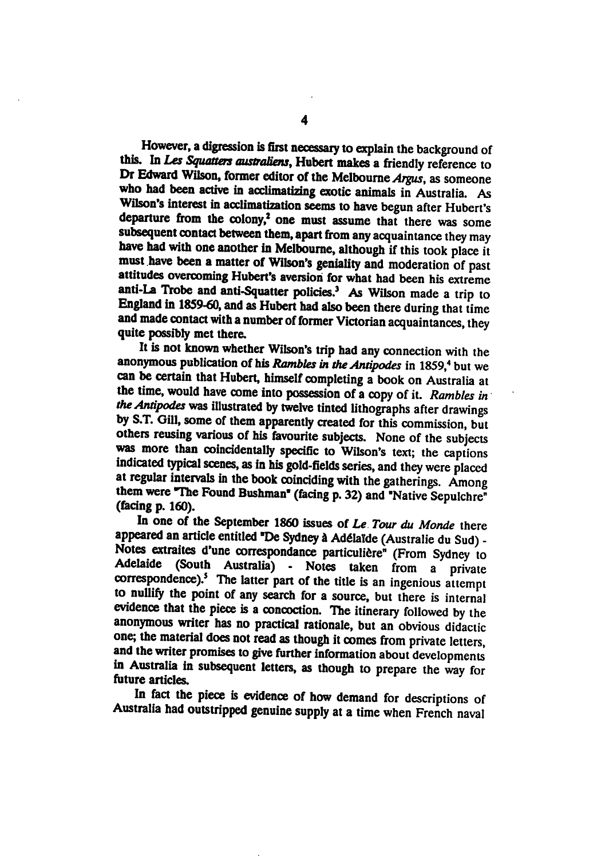However, a digression is first necessary to explain the background of this. In Les Squatters australiens, Hubert makes a friendly reference to Dr Edward Wilson, former editor of the Melbourne Argus, as someone who had been active in acclimatizing exotic animals in Australia. As Wilson's interest in acclimatization seems to have begun after Hubert's departure from the colony,<sup>2</sup> one must assume that there was some subsequent contact between them, apart from any acquaintance they may have had with one another in Melbourne, although if this took place it must have been a matter of Wilson's geniality and moderation of past attitudes overcoming Hubert's aversion for what had been his extreme anti-La Trobe and anti-Squatter policies.<sup>3</sup> As Wilson made a trip to England in 1859-60, and as Hubert had also been there during that time and made contact with a number of former Victorian acquaintances, they quite possibly met there.

It is not known whether Wilson's trip had any connection with the anonymous publication of his Rambles in the Antipodes in 1859,<sup>4</sup> but we can be certain that Hubert, himself completing a book on Australia at the time, would have come into possession of a copy of it. Rambles in the Antipodes was illustrated by twelve tinted lithographs after drawings by S.T. Gill, some of them apparently created for this commission, but others reusing various of his favourite subjects. None of the subjects was more than coincidentally specific to Wilson's text; the captions indicated typical scenes, as in his gold-fields series, and they were placed at regular intervals in the book coinciding with the gatherings. Among them were "The Found Bushman" (facing p. 32) and "Native Sepulchre" (facing p. 160).

In one of the September 1860 issues of Le Tour du Monde there appeared an article entitled "De Sydney à Adélaïde (Australie du Sud) -Notes extraites d'une correspondance particuliere" (From Sydney to Adelaide (South Australia) - Notes taken from a private correspondence).<sup>5</sup> The latter part of the title is an ingenious attempt to nullify the point of any search for a source, but there is internal evidence that the piece is a concoction. The itinerary followed by the anonymous writer has no practical rationale, but an obvious didactic one; the material does not read as though it comes from private letters, and the writer promises to give further information about developments in Australia in subsequent letters, as though to prepare the way for future articles.

In fact the piece is evidence of how demand for descriptions of Australia had outstripped genuine supply at a time when French naval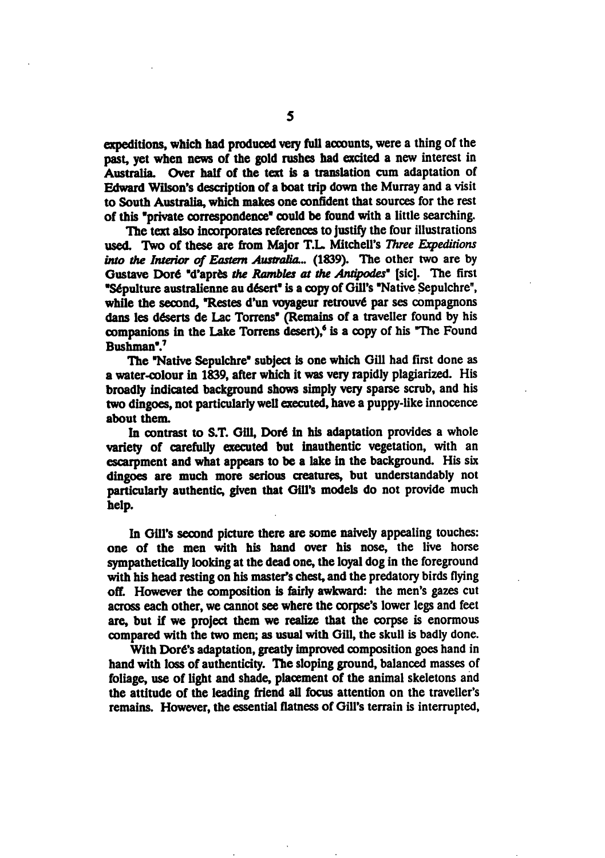expeditions, which had produced very full accounts, were a thing of the past, yet when news of the gold rushes had excited a new interest in Australia. Over half of the text is a translation cum adaptation of Edward Wilson's description of a boat trip down the Murray and a visit to South Australia, which makes one confident that sources for the rest of this "private correspondence" could be found with a little searching.

The text also incorporates references to justify the four illustrations used. Two of these are from Major T.L. Mitchell's Three Expeditions into the Interior of Eastern Australia... (1839). The other two are by Gustave Doré "d'après the Rambles at the Antipodes" [sic]. The first "Sépulture australienne au désert" is a copy of Gill's "Native Sepulchre", while the second, "Restes d'un voyageur retrouvé par ses compagnons dans les déserts de Lac Torrens" (Remains of a traveller found by his companions in the Lake Torrens desert),<sup>6</sup> is a copy of his "The Found Bushman".7

The "Native Sepulchre" subject is one which Gill had first done as water-colour in 1839, after which it was very rapidly plagiarized. His broadly indicated background shows simply very sparse scrub, and his two dingoes, not particularly well executed, have a puppy-like innocence about them.

In contrast to S.T. Gill, Doré in his adaptation provides a whole variety of carefully executed but inauthentic vegetation, with an escarpment and what appears to be a lake in the background. His six dingoes are much more serious creatures, but understandably not particularly authentic, given that Gill's models do not provide much help.

In Gill's second picture there are some naively appealing touches: one of the men with his hand over his nose, the live horse sympathetically looking at the dead one, the loyal dog in the foreground with his head resting on his master's chest, and the predatory birds flying off. However the composition is fairly awkward: the men's gazes cut across each other, we cannot see where the corpse's lower legs and feet are, but if we project them we realize that the corpse is enormous compared with the two men; as usual with Gill, the skull is badly done.

With Doré's adaptation, greatly improved composition goes hand in hand with loss of authenticity. The sloping ground, balanced masses of foliage, use of light and shade, placement of the animal skeletons and the attitude of the leading friend all focus attention on the traveller's remains. However, the essential flatness of Gill's terrain is interrupted,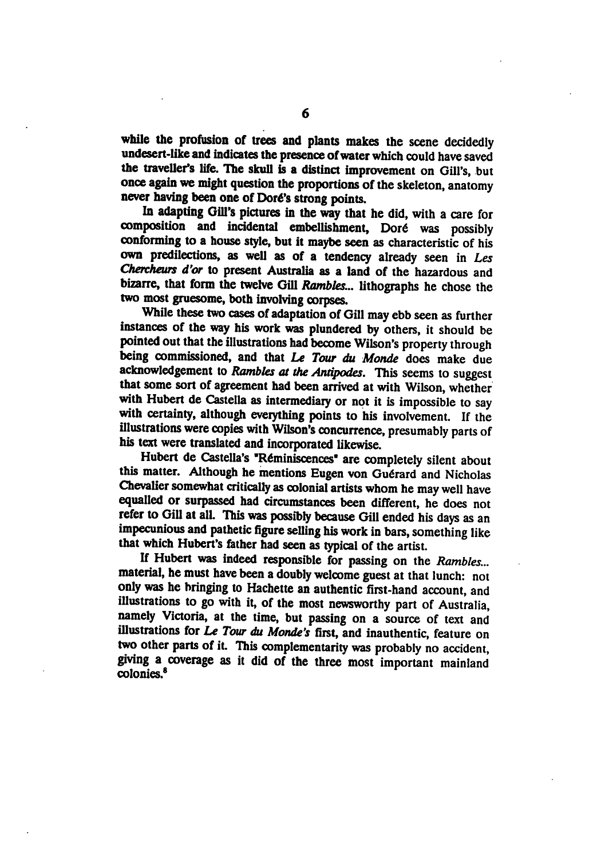while the profusion of trees and plants makes the scene decidedly undesert-like and indicates the presence of water which could have saved the traveller's life. The skull is a distinct improvement on Gill's, but once again we might question the proportions of the skeleton, anatomy never having been one of Dor6's strong points.

In adapting Gill's pictures in the way that he did, with a care for composition and incidental embellishment, Dor6 was possibly conforming to a house style, but it maybe seen as characteristic of his own predilections, as well as of a tendency already seen in Les Chercheurs d'or to present Australia as a land of the hazardous and bizarre, that form the twelve Gill Rambles... lithographs he chose the two most gruesome, both involving corpses.

While these two cases of adaptation of Gill may ebb seen as further instances of the way his work was plundered by others, it should be pointed out that the illustrations had become Wilson's property through being commissioned, and that Le Tour du Monde does make due acknowledgement to Rambles at the Antipodes. This seems to suggest that some sort of agreement had been arrived at with Wilson, whether with Hubert de Castella as intermediary or not it is impossible to say with certainty, although everything points to his involvement. If the illustrations were copies with Wilson's concurrence, presumably parts of his text were translated and incorporated likewise.

Hubert de Castella's "Reminiscences" are completely silent about this matter. Although he mentions Eugen von Guérard and Nicholas Chevalier somewhat critically as colonial artists whom he may well have equalled or surpassed had circumstances been different, he does not refer to Gill at all. This was possibly because Gill ended his days as an impecunious and pathetic figure selling his work in bars, something like that which Hubert's father had seen as typical of the artist.

If Hubert was indeed responsible for passing on the Rambles... material, he must have been a doubly welcome guest at that lunch: not only was he bringing to Hachette an authentic first-hand account, and illustrations to go with it, of the most newsworthy part of Australia, namely Victoria, at the time, but passing on a source of text and illustrations for Le Tour du Monde's first, and inauthentic, feature on two other parts of it. This complementarity was probably no accident, giving a coverage as it did of the three most important mainland colonies.8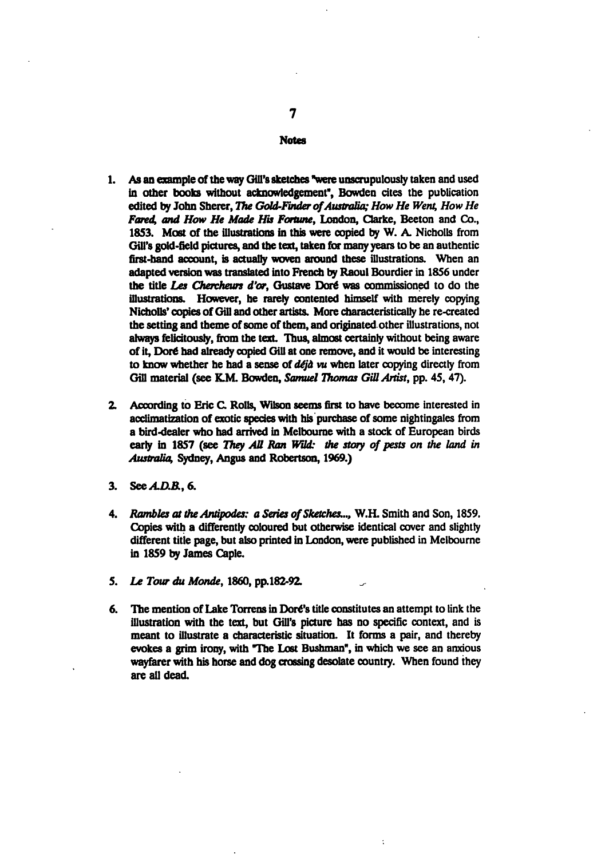## Notes

- 1. As an example of tbe way Gill's sketcbes "were unscrupulously taken and used in other books without acknowledgement", Bowden cites the publication edited by John Sherer, The Gold-Finder of Australia; How He Went, How He Fared, and How He Made His Fortune, London, Clarke, Beeton and Co., 1853. Most of the illustrations in this were copied by W. A. Nicholls from Gill's gold-field pictures, and the text, taken for many years to be an authentic first-hand account, is actually woven around these illustrations. When an adapted version was translated into French by Raoul Bourdier in 1856 under the title Les Chercheurs d'or, Gustave Doré was commissioned to do the illustrations. However, he rarely contented himself with merely copying Nicholls' copies of Gill and other artists. More characteristically he re-created the setting and theme of some of them, and originated other illustrations, not always felicitously, from the text. Thus, almost certainly without being aware of it, Doré had already copied Gill at one remove, and it would be interesting to know whether he had a sense of  $d\ell j\dot{a}$  vu when later copying directly from Gill material (see K.M. Bowden, Samuel Thomas Gill Artist, pp. 45, 47).
- 2. According to Eric C. Rolls, Wilson seems first to have become interested in acclimatization of exotic species with his purchase of some nightingales from a bird-dealer who had arrived in Melbourne with a stock of European birds early in 1857 (see They All Ran Wild: the story of pests on the land in Australia, Sydney, Angus and Robertson, 1969.)
- 3. See A.D.B., 6.
- 4. Rambles at the Antipodes: a Series of Sketches..., W.H. Smith and Son, 1859. Copies with a differently coloured but otherwise identical cover and slightly different title page, but also printed in London, were published in Melbourne in 1859 by James Caple.
- 5. Le Tour du Monde, 1860, pp.182-92.
- 6. The mention of Lake Torrens in Doré's title constitutes an attempt to link the illustration with the text, but Gill's picture has no specific context, and is meant to illustrate a characteristic situation. It forms a pair, and thereby evokes a grim irony, with "The Lost Bushman", in which we see an anxious wayfarer with his horse and dog crossing desolate country. When found they are all dead.

## 7